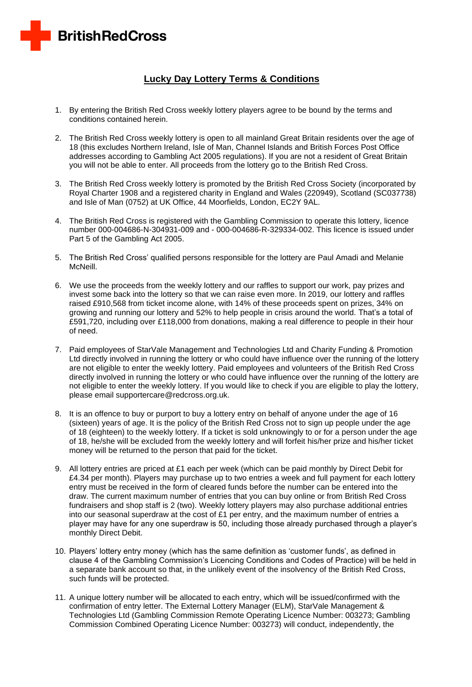

## **Lucky Day Lottery Terms & Conditions**

- 1. By entering the British Red Cross weekly lottery players agree to be bound by the terms and conditions contained herein.
- 2. The British Red Cross weekly lottery is open to all mainland Great Britain residents over the age of 18 (this excludes Northern Ireland, Isle of Man, Channel Islands and British Forces Post Office addresses according to Gambling Act 2005 regulations). If you are not a resident of Great Britain you will not be able to enter. All proceeds from the lottery go to the British Red Cross.
- 3. The British Red Cross weekly lottery is promoted by the British Red Cross Society (incorporated by Royal Charter 1908 and a registered charity in England and Wales (220949), Scotland (SC037738) and Isle of Man (0752) at UK Office, 44 Moorfields, London, EC2Y 9AL.
- 4. The British Red Cross is registered with the Gambling Commission to operate this lottery, licence number 000-004686-N-304931-009 and - 000-004686-R-329334-002. This licence is issued under Part 5 of the Gambling Act 2005.
- 5. The British Red Cross' qualified persons responsible for the lottery are Paul Amadi and Melanie McNeill.
- 6. We use the proceeds from the weekly lottery and our raffles to support our work, pay prizes and invest some back into the lottery so that we can raise even more. In 2019, our lottery and raffles raised £910,568 from ticket income alone, with 14% of these proceeds spent on prizes, 34% on growing and running our lottery and 52% to help people in crisis around the world. That's a total of £591,720, including over £118,000 from donations, making a real difference to people in their hour of need.
- 7. Paid employees of StarVale Management and Technologies Ltd and Charity Funding & Promotion Ltd directly involved in running the lottery or who could have influence over the running of the lottery are not eligible to enter the weekly lottery. Paid employees and volunteers of the British Red Cross directly involved in running the lottery or who could have influence over the running of the lottery are not eligible to enter the weekly lottery. If you would like to check if you are eligible to play the lottery, please email supportercare@redcross.org.uk.
- 8. It is an offence to buy or purport to buy a lottery entry on behalf of anyone under the age of 16 (sixteen) years of age. It is the policy of the British Red Cross not to sign up people under the age of 18 (eighteen) to the weekly lottery. If a ticket is sold unknowingly to or for a person under the age of 18, he/she will be excluded from the weekly lottery and will forfeit his/her prize and his/her ticket money will be returned to the person that paid for the ticket.
- 9. All lottery entries are priced at £1 each per week (which can be paid monthly by Direct Debit for £4.34 per month). Players may purchase up to two entries a week and full payment for each lottery entry must be received in the form of cleared funds before the number can be entered into the draw. The current maximum number of entries that you can buy online or from British Red Cross fundraisers and shop staff is 2 (two). Weekly lottery players may also purchase additional entries into our seasonal superdraw at the cost of  $£1$  per entry, and the maximum number of entries a player may have for any one superdraw is 50, including those already purchased through a player's monthly Direct Debit.
- 10. Players' lottery entry money (which has the same definition as 'customer funds', as defined in clause 4 of the Gambling Commission's Licencing Conditions and Codes of Practice) will be held in a separate bank account so that, in the unlikely event of the insolvency of the British Red Cross, such funds will be protected.
- 11. A unique lottery number will be allocated to each entry, which will be issued/confirmed with the confirmation of entry letter. The External Lottery Manager (ELM), StarVale Management & Technologies Ltd (Gambling Commission Remote Operating Licence Number: 003273; Gambling Commission Combined Operating Licence Number: 003273) will conduct, independently, the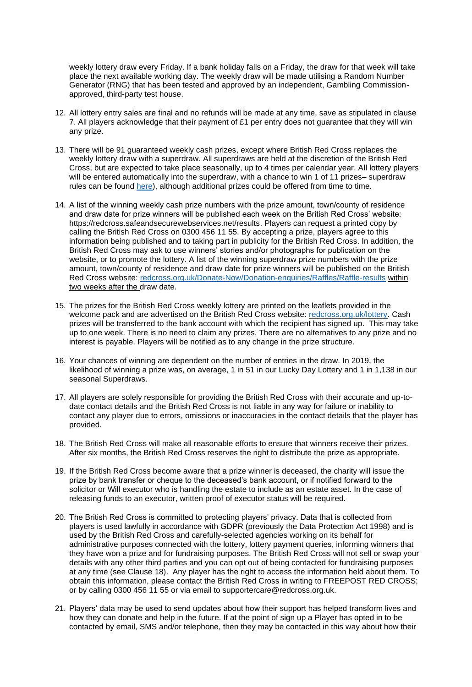weekly lottery draw every Friday. If a bank holiday falls on a Friday, the draw for that week will take place the next available working day. The weekly draw will be made utilising a Random Number Generator (RNG) that has been tested and approved by an independent, Gambling Commissionapproved, third-party test house.

- 12. All lottery entry sales are final and no refunds will be made at any time, save as stipulated in clause 7. All players acknowledge that their payment of  $£1$  per entry does not guarantee that they will win any prize.
- 13. There will be 91 guaranteed weekly cash prizes, except where British Red Cross replaces the weekly lottery draw with a superdraw. All superdraws are held at the discretion of the British Red Cross, but are expected to take place seasonally, up to 4 times per calendar year. All lottery players will be entered automatically into the superdraw, with a chance to win 1 of 11 prizes– superdraw rules can be found [here\)](http://www.redcross.org.uk/Donate-Now/Donation-enquiries/Raffles), although additional prizes could be offered from time to time.
- 14. A list of the winning weekly cash prize numbers with the prize amount, town/county of residence and draw date for prize winners will be published each week on the British Red Cross' website: https://redcross.safeandsecurewebservices.net/results. Players can request a printed copy by calling the British Red Cross on 0300 456 11 55. By accepting a prize, players agree to this information being published and to taking part in publicity for the British Red Cross. In addition, the British Red Cross may ask to use winners' stories and/or photographs for publication on the website, or to promote the lottery. A list of the winning superdraw prize numbers with the prize amount, town/county of residence and draw date for prize winners will be published on the British Red Cross website: [redcross.org.uk/Donate-Now/Donation-enquiries/Raffles/Raffle-results](http://www.redcross.org.uk/Donate-Now/Donation-enquiries/Raffles/Raffle-results) within two weeks after the draw date.
- 15. The prizes for the British Red Cross weekly lottery are printed on the leaflets provided in the welcome pack and are advertised on the British Red Cross website: [redcross.org.uk/lottery.](http://www.redcross.org.uk/lottery) Cash prizes will be transferred to the bank account with which the recipient has signed up. This may take up to one week. There is no need to claim any prizes. There are no alternatives to any prize and no interest is payable. Players will be notified as to any change in the prize structure.
- 16. Your chances of winning are dependent on the number of entries in the draw. In 2019, the likelihood of winning a prize was, on average, 1 in 51 in our Lucky Day Lottery and 1 in 1,138 in our seasonal Superdraws.
- 17. All players are solely responsible for providing the British Red Cross with their accurate and up-todate contact details and the British Red Cross is not liable in any way for failure or inability to contact any player due to errors, omissions or inaccuracies in the contact details that the player has provided.
- 18. The British Red Cross will make all reasonable efforts to ensure that winners receive their prizes. After six months, the British Red Cross reserves the right to distribute the prize as appropriate.
- 19. If the British Red Cross become aware that a prize winner is deceased, the charity will issue the prize by bank transfer or cheque to the deceased's bank account, or if notified forward to the solicitor or Will executor who is handling the estate to include as an estate asset. In the case of releasing funds to an executor, written proof of executor status will be required.
- 20. The British Red Cross is committed to protecting players' privacy. Data that is collected from players is used lawfully in accordance with GDPR (previously the Data Protection Act 1998) and is used by the British Red Cross and carefully-selected agencies working on its behalf for administrative purposes connected with the lottery, lottery payment queries, informing winners that they have won a prize and for fundraising purposes. The British Red Cross will not sell or swap your details with any other third parties and you can opt out of being contacted for fundraising purposes at any time (see Clause 18). Any player has the right to access the information held about them. To obtain this information, please contact the British Red Cross in writing to FREEPOST RED CROSS; or by calling 0300 456 11 55 or via email to supportercare@redcross.org.uk.
- 21. Players' data may be used to send updates about how their support has helped transform lives and how they can donate and help in the future. If at the point of sign up a Player has opted in to be contacted by email, SMS and/or telephone, then they may be contacted in this way about how their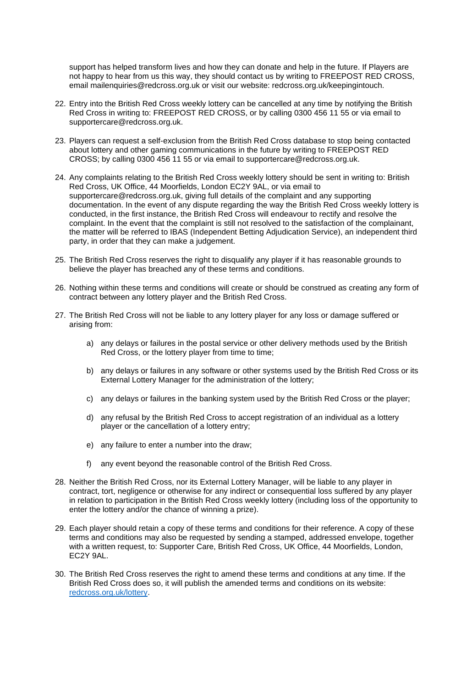support has helped transform lives and how they can donate and help in the future. If Players are not happy to hear from us this way, they should contact us by writing to FREEPOST RED CROSS, email mailenquiries@redcross.org.uk or visit our website: redcross.org.uk/keepingintouch.

- 22. Entry into the British Red Cross weekly lottery can be cancelled at any time by notifying the British Red Cross in writing to: FREEPOST RED CROSS, or by calling 0300 456 11 55 or via email to supportercare@redcross.org.uk.
- 23. Players can request a self-exclusion from the British Red Cross database to stop being contacted about lottery and other gaming communications in the future by writing to FREEPOST RED CROSS; by calling 0300 456 11 55 or via email to supportercare@redcross.org.uk.
- 24. Any complaints relating to the British Red Cross weekly lottery should be sent in writing to: British Red Cross, UK Office, 44 Moorfields, London EC2Y 9AL, or via email to supportercare@redcross.org.uk, giving full details of the complaint and any supporting documentation. In the event of any dispute regarding the way the British Red Cross weekly lottery is conducted, in the first instance, the British Red Cross will endeavour to rectify and resolve the complaint. In the event that the complaint is still not resolved to the satisfaction of the complainant, the matter will be referred to IBAS (Independent Betting Adjudication Service), an independent third party, in order that they can make a judgement.
- 25. The British Red Cross reserves the right to disqualify any player if it has reasonable grounds to believe the player has breached any of these terms and conditions.
- 26. Nothing within these terms and conditions will create or should be construed as creating any form of contract between any lottery player and the British Red Cross.
- 27. The British Red Cross will not be liable to any lottery player for any loss or damage suffered or arising from:
	- a) any delays or failures in the postal service or other delivery methods used by the British Red Cross, or the lottery player from time to time;
	- b) any delays or failures in any software or other systems used by the British Red Cross or its External Lottery Manager for the administration of the lottery;
	- c) any delays or failures in the banking system used by the British Red Cross or the player;
	- d) any refusal by the British Red Cross to accept registration of an individual as a lottery player or the cancellation of a lottery entry;
	- e) any failure to enter a number into the draw;
	- f) any event beyond the reasonable control of the British Red Cross.
- 28. Neither the British Red Cross, nor its External Lottery Manager, will be liable to any player in contract, tort, negligence or otherwise for any indirect or consequential loss suffered by any player in relation to participation in the British Red Cross weekly lottery (including loss of the opportunity to enter the lottery and/or the chance of winning a prize).
- 29. Each player should retain a copy of these terms and conditions for their reference. A copy of these terms and conditions may also be requested by sending a stamped, addressed envelope, together with a written request, to: Supporter Care, British Red Cross, UK Office, 44 Moorfields, London, EC2Y 9AL.
- 30. The British Red Cross reserves the right to amend these terms and conditions at any time. If the British Red Cross does so, it will publish the amended terms and conditions on its website: [redcross.org.uk/lottery.](http://www.redcross.org.uk/lottery)